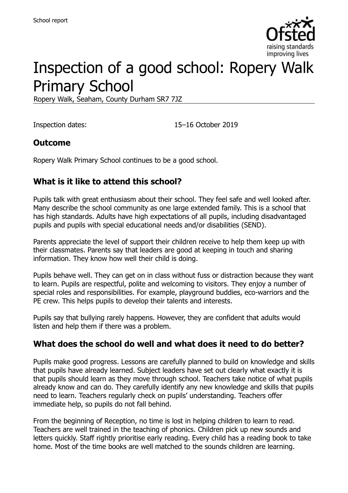

# Inspection of a good school: Ropery Walk Primary School

Ropery Walk, Seaham, County Durham SR7 7JZ

Inspection dates: 15–16 October 2019

### **Outcome**

Ropery Walk Primary School continues to be a good school.

## **What is it like to attend this school?**

Pupils talk with great enthusiasm about their school. They feel safe and well looked after. Many describe the school community as one large extended family. This is a school that has high standards. Adults have high expectations of all pupils, including disadvantaged pupils and pupils with special educational needs and/or disabilities (SEND).

Parents appreciate the level of support their children receive to help them keep up with their classmates. Parents say that leaders are good at keeping in touch and sharing information. They know how well their child is doing.

Pupils behave well. They can get on in class without fuss or distraction because they want to learn. Pupils are respectful, polite and welcoming to visitors. They enjoy a number of special roles and responsibilities. For example, playground buddies, eco-warriors and the PE crew. This helps pupils to develop their talents and interests.

Pupils say that bullying rarely happens. However, they are confident that adults would listen and help them if there was a problem.

### **What does the school do well and what does it need to do better?**

Pupils make good progress. Lessons are carefully planned to build on knowledge and skills that pupils have already learned. Subject leaders have set out clearly what exactly it is that pupils should learn as they move through school. Teachers take notice of what pupils already know and can do. They carefully identify any new knowledge and skills that pupils need to learn. Teachers regularly check on pupils' understanding. Teachers offer immediate help, so pupils do not fall behind.

From the beginning of Reception, no time is lost in helping children to learn to read. Teachers are well trained in the teaching of phonics. Children pick up new sounds and letters quickly. Staff rightly prioritise early reading. Every child has a reading book to take home. Most of the time books are well matched to the sounds children are learning.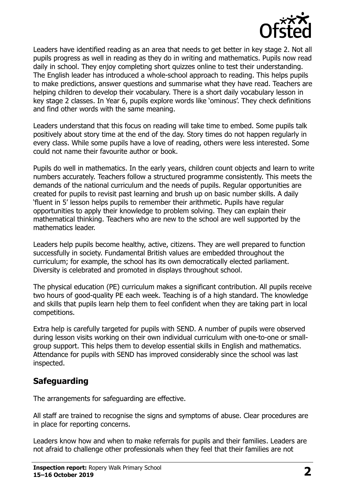

Leaders have identified reading as an area that needs to get better in key stage 2. Not all pupils progress as well in reading as they do in writing and mathematics. Pupils now read daily in school. They enjoy completing short quizzes online to test their understanding. The English leader has introduced a whole-school approach to reading. This helps pupils to make predictions, answer questions and summarise what they have read. Teachers are helping children to develop their vocabulary. There is a short daily vocabulary lesson in key stage 2 classes. In Year 6, pupils explore words like 'ominous'. They check definitions and find other words with the same meaning.

Leaders understand that this focus on reading will take time to embed. Some pupils talk positively about story time at the end of the day. Story times do not happen regularly in every class. While some pupils have a love of reading, others were less interested. Some could not name their favourite author or book.

Pupils do well in mathematics. In the early years, children count objects and learn to write numbers accurately. Teachers follow a structured programme consistently. This meets the demands of the national curriculum and the needs of pupils. Regular opportunities are created for pupils to revisit past learning and brush up on basic number skills. A daily 'fluent in 5' lesson helps pupils to remember their arithmetic. Pupils have regular opportunities to apply their knowledge to problem solving. They can explain their mathematical thinking. Teachers who are new to the school are well supported by the mathematics leader.

Leaders help pupils become healthy, active, citizens. They are well prepared to function successfully in society. Fundamental British values are embedded throughout the curriculum; for example, the school has its own democratically elected parliament. Diversity is celebrated and promoted in displays throughout school.

The physical education (PE) curriculum makes a significant contribution. All pupils receive two hours of good-quality PE each week. Teaching is of a high standard. The knowledge and skills that pupils learn help them to feel confident when they are taking part in local competitions.

Extra help is carefully targeted for pupils with SEND. A number of pupils were observed during lesson visits working on their own individual curriculum with one-to-one or smallgroup support. This helps them to develop essential skills in English and mathematics. Attendance for pupils with SEND has improved considerably since the school was last inspected.

## **Safeguarding**

The arrangements for safeguarding are effective.

All staff are trained to recognise the signs and symptoms of abuse. Clear procedures are in place for reporting concerns.

Leaders know how and when to make referrals for pupils and their families. Leaders are not afraid to challenge other professionals when they feel that their families are not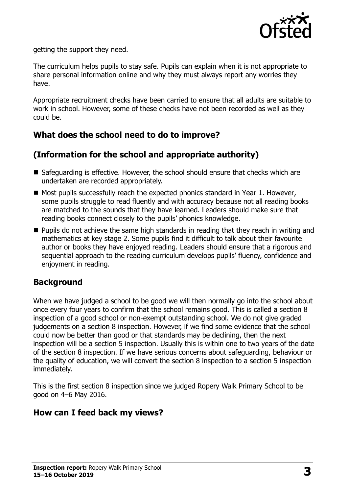

getting the support they need.

The curriculum helps pupils to stay safe. Pupils can explain when it is not appropriate to share personal information online and why they must always report any worries they have.

Appropriate recruitment checks have been carried to ensure that all adults are suitable to work in school. However, some of these checks have not been recorded as well as they could be.

## **What does the school need to do to improve?**

## **(Information for the school and appropriate authority)**

- Safeguarding is effective. However, the school should ensure that checks which are undertaken are recorded appropriately.
- $\blacksquare$  Most pupils successfully reach the expected phonics standard in Year 1. However, some pupils struggle to read fluently and with accuracy because not all reading books are matched to the sounds that they have learned. Leaders should make sure that reading books connect closely to the pupils' phonics knowledge.
- **Pupils do not achieve the same high standards in reading that they reach in writing and** mathematics at key stage 2. Some pupils find it difficult to talk about their favourite author or books they have enjoyed reading. Leaders should ensure that a rigorous and sequential approach to the reading curriculum develops pupils' fluency, confidence and enjoyment in reading.

### **Background**

When we have judged a school to be good we will then normally go into the school about once every four years to confirm that the school remains good. This is called a section 8 inspection of a good school or non-exempt outstanding school. We do not give graded judgements on a section 8 inspection. However, if we find some evidence that the school could now be better than good or that standards may be declining, then the next inspection will be a section 5 inspection. Usually this is within one to two years of the date of the section 8 inspection. If we have serious concerns about safeguarding, behaviour or the quality of education, we will convert the section 8 inspection to a section 5 inspection immediately.

This is the first section 8 inspection since we judged Ropery Walk Primary School to be good on 4–6 May 2016.

### **How can I feed back my views?**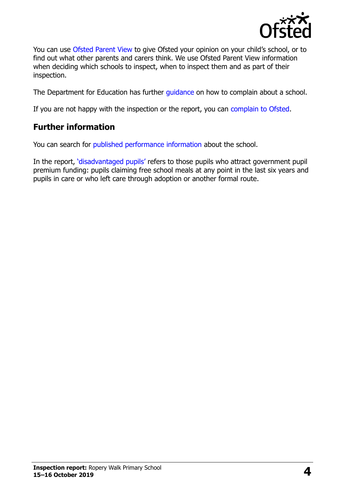

You can use [Ofsted Parent View](https://parentview.ofsted.gov.uk/) to give Ofsted your opinion on your child's school, or to find out what other parents and carers think. We use Ofsted Parent View information when deciding which schools to inspect, when to inspect them and as part of their inspection.

The Department for Education has further [guidance](http://www.gov.uk/complain-about-school) on how to complain about a school.

If you are not happy with the inspection or the report, you can [complain to Ofsted.](https://www.gov.uk/complain-ofsted-report)

## **Further information**

You can search for [published performance information](http://www.compare-school-performance.service.gov.uk/) about the school.

In the report, '[disadvantaged pupils](http://www.gov.uk/guidance/pupil-premium-information-for-schools-and-alternative-provision-settings)' refers to those pupils who attract government pupil premium funding: pupils claiming free school meals at any point in the last six years and pupils in care or who left care through adoption or another formal route.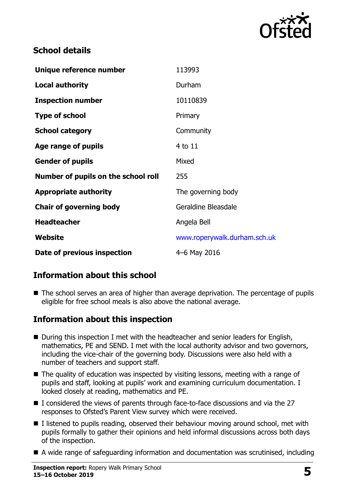

## **School details**

| Unique reference number             | 113993                       |
|-------------------------------------|------------------------------|
| <b>Local authority</b>              | Durham                       |
| <b>Inspection number</b>            | 10110839                     |
| <b>Type of school</b>               | Primary                      |
| <b>School category</b>              | Community                    |
| Age range of pupils                 | 4 to 11                      |
| <b>Gender of pupils</b>             | Mixed                        |
| Number of pupils on the school roll | 255                          |
| <b>Appropriate authority</b>        | The governing body           |
| <b>Chair of governing body</b>      | Geraldine Bleasdale          |
| <b>Headteacher</b>                  | Angela Bell                  |
| Website                             | www.roperywalk.durham.sch.uk |
| Date of previous inspection         | 4-6 May 2016                 |

## **Information about this school**

■ The school serves an area of higher than average deprivation. The percentage of pupils eligible for free school meals is also above the national average.

### **Information about this inspection**

- During this inspection I met with the headteacher and senior leaders for English, mathematics, PE and SEND. I met with the local authority advisor and two governors, including the vice-chair of the governing body. Discussions were also held with a number of teachers and support staff.
- The quality of education was inspected by visiting lessons, meeting with a range of pupils and staff, looking at pupils' work and examining curriculum documentation. I looked closely at reading, mathematics and PE.
- $\blacksquare$  I considered the views of parents through face-to-face discussions and via the 27 responses to Ofsted's Parent View survey which were received.
- I listened to pupils reading, observed their behaviour moving around school, met with pupils formally to gather their opinions and held informal discussions across both days of the inspection.
- A wide range of safeguarding information and documentation was scrutinised, including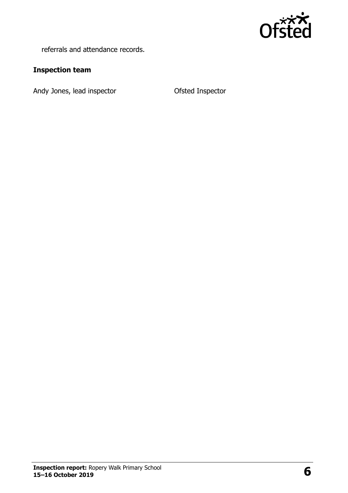

referrals and attendance records.

#### **Inspection team**

Andy Jones, lead inspector **CENET CONTER CONTER** Ofsted Inspector